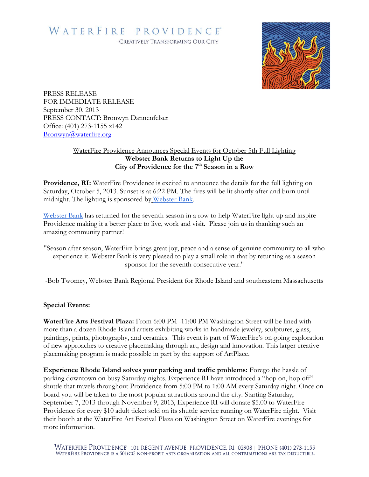## WATERFIRE PROVIDENCE®

-CREATIVELY TRANSFORMING OUR CITY



PRESS RELEASE FOR IMMEDIATE RELEASE September 30, 2013 PRESS CONTACT: Bronwyn Dannenfelser Office: (401) 273-1155 x142 [Bronwyn@waterfire.org](mailto:Bronwyn@waterfire.org)

## WaterFire Providence Announces Special Events for October 5th Full Lighting **Webster Bank Returns to Light Up the City of Providence for the 7 th Season in a Row**

**Providence, RI:** WaterFire Providence is excited to announce the details for the full lighting on Saturday, October 5, 2013. Sunset is at 6:22 PM. The fires will be lit shortly after and burn until midnight. The lighting is sponsored by [Webster Bank.](http://www.websteronline.com/)

[Webster Bank](http://www.websteronline.com/) has returned for the seventh season in a row to help WaterFire light up and inspire Providence making it a better place to live, work and visit. Please join us in thanking such an amazing community partner!

"Season after season, WaterFire brings great joy, peace and a sense of genuine community to all who experience it. Webster Bank is very pleased to play a small role in that by returning as a season sponsor for the seventh consecutive year."

-Bob Twomey, Webster Bank Regional President for Rhode Island and southeastern Massachusetts

## **Special Events:**

**WaterFire Arts Festival Plaza:** From 6:00 PM -11:00 PM Washington Street will be lined with more than a dozen Rhode Island artists exhibiting works in handmade jewelry, sculptures, glass, paintings, prints, photography, and ceramics. This event is part of WaterFire's on-going exploration of new approaches to creative placemaking through art, design and innovation. This larger creative placemaking program is made possible in part by the support of ArtPlace.

**Experience Rhode Island solves your parking and traffic problems:** Forego the hassle of parking downtown on busy Saturday nights. Experience RI have introduced a "hop on, hop off" shuttle that travels throughout Providence from 5:00 PM to 1:00 AM every Saturday night. Once on board you will be taken to the most popular attractions around the city. Starting Saturday, September 7, 2013 through November 9, 2013, Experience RI will donate \$5.00 to WaterFire Providence for every \$10 adult ticket sold on its shuttle service running on WaterFire night. Visit their booth at the WaterFire Art Festival Plaza on Washington Street on WaterFire evenings for more information.